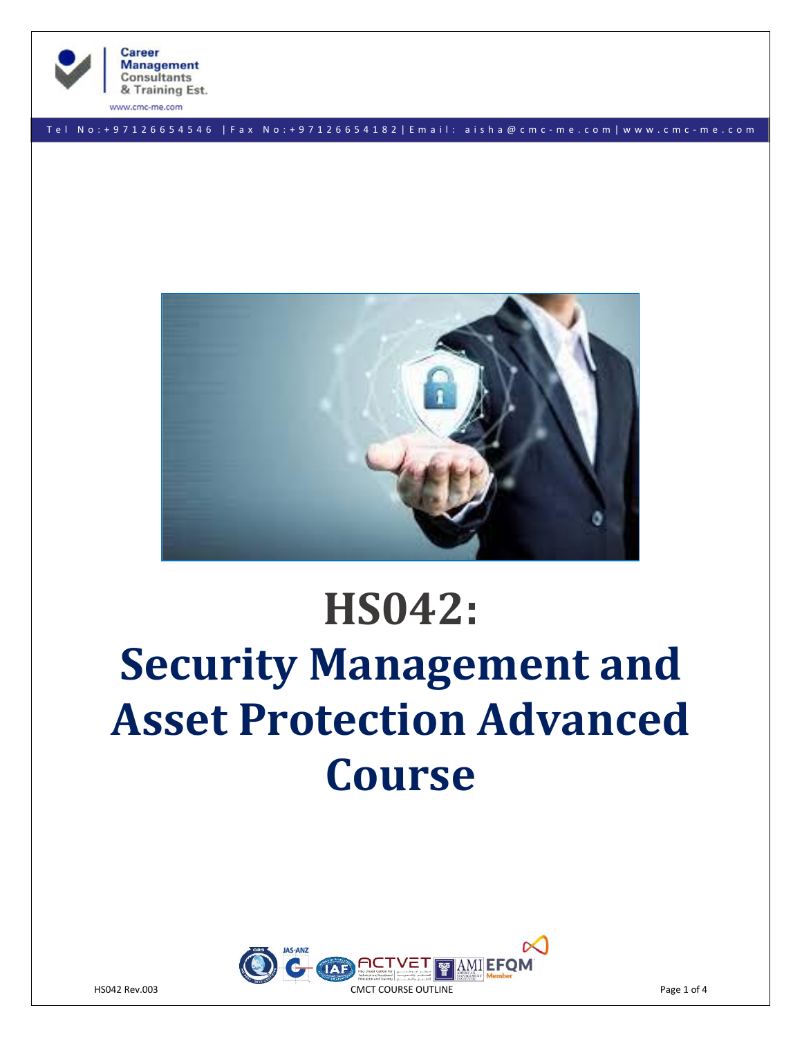

**Career Management Consultants** & Training Est.

www.cmc-me.com

T e l N o : + 9 7 1 2 6 6 5 4 5 4 6 | F a x N o : + 9 7 1 2 6 6 5 4 1 8 2 | E m a i l : a i s h a @ c m c - m e . c o m | w w w . c m c - m e . c o m



# **HS042: Security Management and Asset Protection Advanced Course**

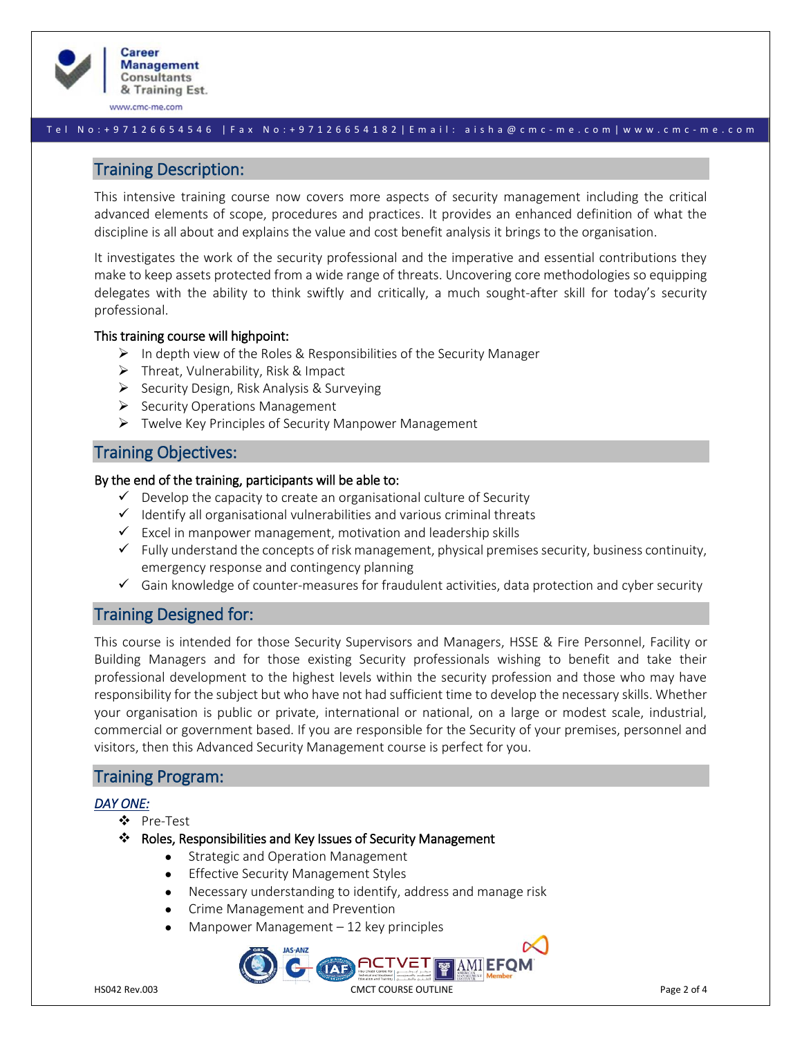

www.cmc-me.com

#### T e l N o : + 9 7 1 2 6 6 5 4 5 4 6 | F a x N o : + 9 7 1 2 6 6 5 4 1 8 2 | E m a i l : a i s h a @ c m c - m e . c o m | w w w . c m c - m e . c o m

## Training Description:

This intensive training course now covers more aspects of security management including the critical advanced elements of scope, procedures and practices. It provides an enhanced definition of what the discipline is all about and explains the value and cost benefit analysis it brings to the organisation.

It investigates the work of the security professional and the imperative and essential contributions they make to keep assets protected from a wide range of threats. Uncovering core methodologies so equipping delegates with the ability to think swiftly and critically, a much sought-after skill for today's security professional.

#### This training course will highpoint:

- $\triangleright$  In depth view of the Roles & Responsibilities of the Security Manager
- $\triangleright$  Threat, Vulnerability, Risk & Impact
- ➢ Security Design, Risk Analysis & Surveying
- ➢ Security Operations Management
- ➢ Twelve Key Principles of Security Manpower Management

# Training Objectives:

#### By the end of the training, participants will be able to:

- $\checkmark$  Develop the capacity to create an organisational culture of Security
- $\checkmark$  Identify all organisational vulnerabilities and various criminal threats
- $\checkmark$  Excel in manpower management, motivation and leadership skills
- $\checkmark$  Fully understand the concepts of risk management, physical premises security, business continuity, emergency response and contingency planning
- $\checkmark$  Gain knowledge of counter-measures for fraudulent activities, data protection and cyber security

## Training Designed for:

This course is intended for those Security Supervisors and Managers, HSSE & Fire Personnel, Facility or Building Managers and for those existing Security professionals wishing to benefit and take their professional development to the highest levels within the security profession and those who may have responsibility for the subject but who have not had sufficient time to develop the necessary skills. Whether your organisation is public or private, international or national, on a large or modest scale, industrial, commercial or government based. If you are responsible for the Security of your premises, personnel and visitors, then this Advanced Security Management course is perfect for you.

## Training Program:

#### *DAY ONE:*

- ❖ Pre-Test
- ❖ Roles, Responsibilities and Key Issues of Security Management
	- Strategic and Operation Management
	- Effective Security Management Styles
	- Necessary understanding to identify, address and manage risk
	- Crime Management and Prevention
	- Manpower Management  $-12$  key principles

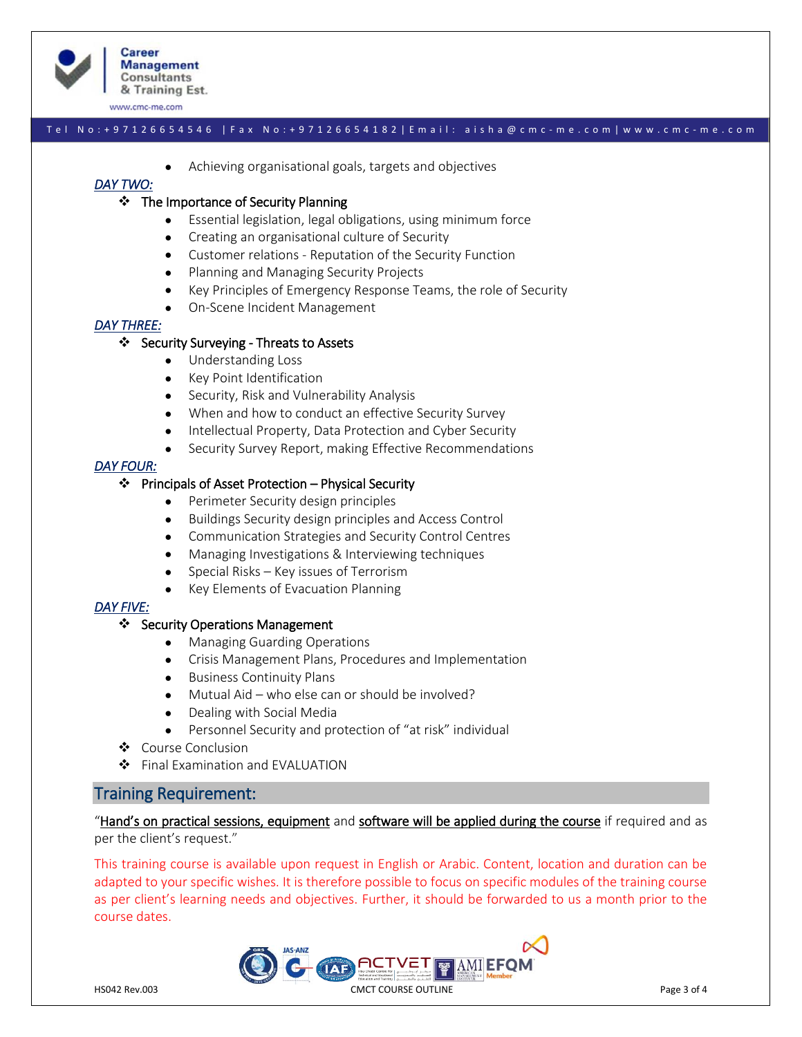

www.cmc-me.com

#### T e l N o : + 9 7 1 2 6 6 5 4 5 4 6 | F a x N o : + 9 7 1 2 6 6 5 4 1 8 2 | E m a i l : a i s h a @ c m c - m e . c o m | w w w . c m c - m e . c o m

• Achieving organisational goals, targets and objectives

## *DAY TWO:*

#### ❖ The Importance of Security Planning

- Essential legislation, legal obligations, using minimum force
- Creating an organisational culture of Security
- Customer relations Reputation of the Security Function
- Planning and Managing Security Projects
- Key Principles of Emergency Response Teams, the role of Security
- On-Scene Incident Management

#### *DAY THREE:*

#### ❖ Security Surveying - Threats to Assets

- Understanding Loss
- Key Point Identification
- Security, Risk and Vulnerability Analysis
- When and how to conduct an effective Security Survey
- Intellectual Property, Data Protection and Cyber Security
- Security Survey Report, making Effective Recommendations

#### *DAY FOUR:*

#### ❖ Principals of Asset Protection – Physical Security

- Perimeter Security design principles
- Buildings Security design principles and Access Control
- Communication Strategies and Security Control Centres
- Managing Investigations & Interviewing techniques
- Special Risks Key issues of Terrorism
- Key Elements of Evacuation Planning

#### *DAY FIVE:*

#### ❖ Security Operations Management

- Managing Guarding Operations
- Crisis Management Plans, Procedures and Implementation
- Business Continuity Plans
- Mutual Aid who else can or should be involved?
- Dealing with Social Media
- Personnel Security and protection of "at risk" individual
- ❖ Course Conclusion
- ❖ Final Examination and EVALUATION

# Training Requirement:

"Hand's on practical sessions, equipment and software will be applied during the course if required and as per the client's request."

This training course is available upon request in English or Arabic. Content, location and duration can be adapted to your specific wishes. It is therefore possible to focus on specific modules of the training course as per client's learning needs and objectives. Further, it should be forwarded to us a month prior to the course dates.